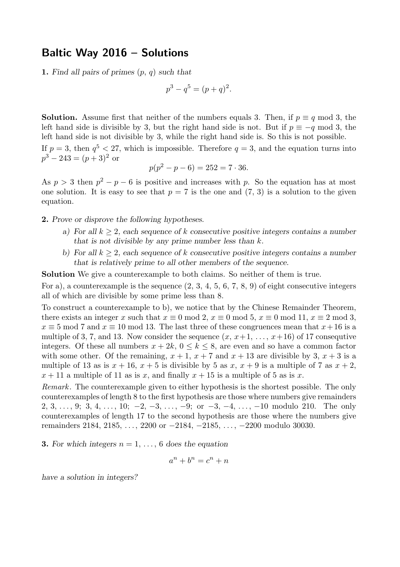## **Baltic Way 2016 – Solutions**

**1.** *Find all pairs of primes* (p, q) *such that*

$$
p^3 - q^5 = (p+q)^2.
$$

**Solution.** Assume first that neither of the numbers equals 3. Then, if  $p \equiv q \mod 3$ , the left hand side is divisible by 3, but the right hand side is not. But if  $p \equiv -q \mod 3$ , the left hand side is not divisible by 3, while the right hand side is. So this is not possible.

If  $p = 3$ , then  $q^5 < 27$ , which is impossible. Therefore  $q = 3$ , and the equation turns into  $p^3 - 243 = (p+3)^2$  or

$$
p(p^2 - p - 6) = 252 = 7 \cdot 36.
$$

As  $p > 3$  then  $p^2 - p - 6$  is positive and increases with p. So the equation has at most one solution. It is easy to see that  $p = 7$  is the one and  $(7, 3)$  is a solution to the given equation.

**2.** *Prove or disprove the following hypotheses.*

- *a) For all* k ≥ 2*, each sequence of* k *consecutive positive integers contains a number that is not divisible by any prime number less than* k*.*
- *b) For all* k ≥ 2*, each sequence of* k *consecutive positive integers contains a number that is relatively prime to all other members of the sequence.*

**Solution** We give a counterexample to both claims. So neither of them is true.

For a), a counterexample is the sequence  $(2, 3, 4, 5, 6, 7, 8, 9)$  of eight consecutive integers all of which are divisible by some prime less than 8.

To construct a counterexample to b), we notice that by the Chinese Remainder Theorem, there exists an integer x such that  $x \equiv 0 \mod 2$ ,  $x \equiv 0 \mod 5$ ,  $x \equiv 0 \mod 11$ ,  $x \equiv 2 \mod 3$ ,  $x \equiv 5 \mod 7$  and  $x \equiv 10 \mod 13$ . The last three of these congruences mean that  $x+16$  is a multiple of 3, 7, and 13. Now consider the sequence  $(x, x+1, \ldots, x+16)$  of 17 consequtive integers. Of these all numbers  $x + 2k$ ,  $0 \le k \le 8$ , are even and so have a common factor with some other. Of the remaining,  $x + 1$ ,  $x + 7$  and  $x + 13$  are divisible by 3,  $x + 3$  is a multiple of 13 as is  $x + 16$ ,  $x + 5$  is divisible by 5 as  $x$ ,  $x + 9$  is a multiple of 7 as  $x + 2$ ,  $x + 11$  a multiple of 11 as is x, and finally  $x + 15$  is a multiple of 5 as is x.

*Remark*. The counterexample given to either hypothesis is the shortest possible. The only counterexamples of length 8 to the first hypothesis are those where numbers give remainders 2, 3, ..., 9; 3, 4, ..., 10;  $-2$ ,  $-3$ , ...,  $-9$ ; or  $-3$ ,  $-4$ , ...,  $-10$  modulo 210. The only counterexamples of length 17 to the second hypothesis are those where the numbers give remainders 2184, 2185, ..., 2200 or −2184, −2185, ..., −2200 modulo 30030.

**3.** For which integers  $n = 1, \ldots, 6$  does the equation

$$
a^n + b^n = c^n + n
$$

*have a solution in integers?*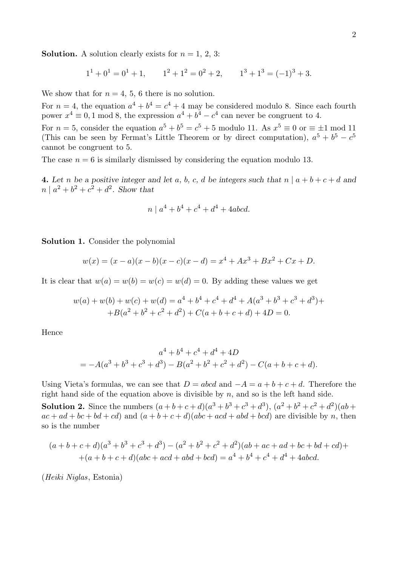**Solution.** A solution clearly exists for  $n = 1, 2, 3$ :

$$
11 + 01 = 01 + 1,
$$
  $12 + 12 = 02 + 2,$   $13 + 13 = (-1)3 + 3.$ 

We show that for  $n = 4, 5, 6$  there is no solution.

For  $n = 4$ , the equation  $a^4 + b^4 = c^4 + 4$  may be considered modulo 8. Since each fourth power  $x^4 \equiv 0, 1 \mod 8$ , the expression  $a^4 + b^4 - c^4$  can never be congruent to 4.

For  $n = 5$ , consider the equation  $a^5 + b^5 = c^5 + 5$  modulo 11. As  $x^5 \equiv 0$  or  $\equiv \pm 1$  mod 11 (This can be seen by Fermat's Little Theorem or by direct computation),  $a^5 + b^5 - c^5$ cannot be congruent to 5.

The case  $n = 6$  is similarly dismissed by considering the equation modulo 13.

**4.** Let *n* be a positive integer and let *a*, *b*, *c*, *d* be integers such that  $n | a + b + c + d$  and  $n | a^2 + b^2 + c^2 + d^2$ . Show that

$$
n \mid a^4 + b^4 + c^4 + d^4 + 4abcd.
$$

**Solution 1.** Consider the polynomial

$$
w(x) = (x - a)(x - b)(x - c)(x - d) = x4 + Ax3 + Bx2 + Cx + D.
$$

It is clear that  $w(a) = w(b) = w(c) = w(d) = 0$ . By adding these values we get

$$
w(a) + w(b) + w(c) + w(d) = a4 + b4 + c4 + d4 + A(a3 + b3 + c3 + d3) ++ B(a2 + b2 + c2 + d2) + C(a + b + c + d) + 4D = 0.
$$

Hence

$$
a^{4} + b^{4} + c^{4} + d^{4} + 4D
$$
  
=  $-A(a^{3} + b^{3} + c^{3} + d^{3}) - B(a^{2} + b^{2} + c^{2} + d^{2}) - C(a + b + c + d).$ 

Using Vieta's formulas, we can see that  $D = abcd$  and  $-A = a + b + c + d$ . Therefore the right hand side of the equation above is divisible by  $n$ , and so is the left hand side.

**Solution 2.** Since the numbers  $(a+b+c+d)(a^3+b^3+c^3+d^3)$ ,  $(a^2+b^2+c^2+d^2)(ab+$  $ac + ad + bc + bd + cd)$  and  $(a + b + c + d)(abc + acd + abd + bcd)$  are divisible by n, then so is the number

$$
(a+b+c+d)(a3+b3+c3+d3) - (a2+b2+c2+d2)(ab+ac+ad+bc+bd+cd)++(a+b+c+d)(abc+acd+abd+bcd) = a4+b4+c4+d4+4abcd.
$$

(*Heiki Niglas*, Estonia)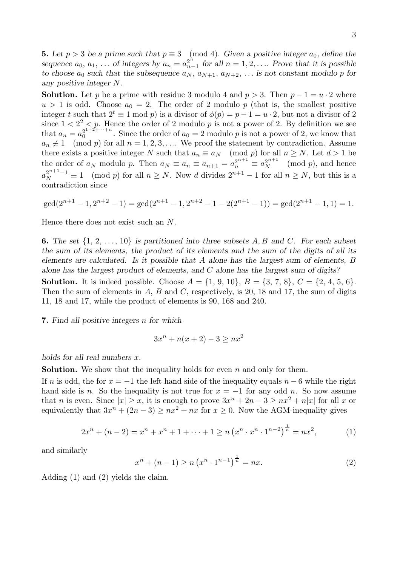**5.** Let  $p > 3$  be a prime such that  $p \equiv 3 \pmod{4}$ . Given a positive integer  $a_0$ , define the *sequence*  $a_0, a_1, \ldots$  *of integers by*  $a_n = a_{n-1}^{2^n}$  *for all*  $n = 1, 2, \ldots$  *Prove that it is possible to choose*  $a_0$  *such that the subsequence*  $a_N$ ,  $a_{N+1}$ ,  $a_{N+2}$ , ... *is not constant modulo p for any positive integer* N*.*

**Solution.** Let p be a prime with residue 3 modulo 4 and  $p > 3$ . Then  $p - 1 = u \cdot 2$  where  $u > 1$  is odd. Choose  $a_0 = 2$ . The order of 2 modulo p (that is, the smallest positive integer t such that  $2^t \equiv 1 \mod p$  is a divisor of  $\phi(p) = p - 1 = u \cdot 2$ , but not a divisor of 2 since  $1 < 2<sup>2</sup> < p$ . Hence the order of 2 modulo p is not a power of 2. By definition we see that  $a_n = a_0^{2^{1+2+\cdots+n}}$ . Since the order of  $a_0 = 2$  modulo p is not a power of 2, we know that  $a_n \not\equiv 1 \pmod{p}$  for all  $n = 1, 2, 3, \ldots$  We proof the statement by contradiction. Assume there exists a positive integer N such that  $a_n \equiv a_N \pmod{p}$  for all  $n \geq N$ . Let  $d > 1$  be the order of  $a_N$  modulo p. Then  $a_N \equiv a_n \equiv a_{n+1} = a_n^{2^{n+1}} \equiv a_N^{2^{n+1}} \pmod{p}$ , and hence  $a_N^{2^{n+1}-1} \equiv 1 \pmod{p}$  for all  $n \geq N$ . Now d divides  $2^{n+1}-1$  for all  $n \geq N$ , but this is a contradiction since

$$
\gcd(2^{n+1}-1, 2^{n+2}-1) = \gcd(2^{n+1}-1, 2^{n+2}-1-2(2^{n+1}-1)) = \gcd(2^{n+1}-1, 1) = 1.
$$

Hence there does not exist such an N.

**6.** *The set* {1, 2, ..., 10} *is partitioned into three subsets* A, B *and* C*. For each subset the sum of its elements, the product of its elements and the sum of the digits of all its elements are calculated. Is it possible that* A *alone has the largest sum of elements,* B *alone has the largest product of elements, and* C *alone has the largest sum of digits?*

**Solution.** It is indeed possible. Choose  $A = \{1, 9, 10\}, B = \{3, 7, 8\}, C = \{2, 4, 5, 6\}.$ Then the sum of elements in  $A$ ,  $B$  and  $C$ , respectively, is 20, 18 and 17, the sum of digits 11, 18 and 17, while the product of elements is 90, 168 and 240.

**7.** *Find all positive integers* n *for which*

$$
3x^{n} + n(x+2) - 3 \ge nx^{2}
$$

*holds for all real numbers* x*.*

**Solution.** We show that the inequality holds for even  $n$  and only for them.

If n is odd, the for  $x = -1$  the left hand side of the inequality equals  $n - 6$  while the right hand side is n. So the inequality is not true for  $x = -1$  for any odd n. So now assume that n is even. Since  $|x| \geq x$ , it is enough to prove  $3x^n + 2n - 3 \geq nx^2 + n|x|$  for all x or equivalently that  $3x^n + (2n-3) \ge nx^2 + nx$  for  $x \ge 0$ . Now the AGM-inequality gives

$$
2x^{n} + (n - 2) = x^{n} + x^{n} + 1 + \dots + 1 \ge n \left( x^{n} \cdot x^{n} \cdot 1^{n-2} \right)^{\frac{1}{n}} = nx^{2},
$$
 (1)

and similarly

$$
x^{n} + (n - 1) \ge n \left( x^{n} \cdot 1^{n-1} \right)^{\frac{1}{n}} = nx.
$$
 (2)

Adding (1) and (2) yields the claim.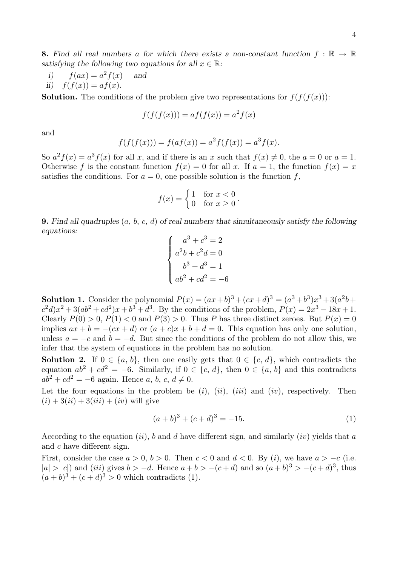**8.** Find all real numbers a for which there exists a non-constant function  $f : \mathbb{R} \to \mathbb{R}$ *satisfying the following two equations for all*  $x \in \mathbb{R}$ *:* 

i) 
$$
f(ax) = a^2 f(x)
$$
 and  
ii)  $f(f(x)) = af(x)$ .

**Solution.** The conditions of the problem give two representations for  $f(f(f(x)))$ :

$$
f(f(f(x))) = af(f(x)) = a2 f(x)
$$

and

$$
f(f(f(x))) = f(af(x)) = a2 f(f(x)) = a3 f(x).
$$

So  $a^2 f(x) = a^3 f(x)$  for all x, and if there is an x such that  $f(x) \neq 0$ , the  $a = 0$  or  $a = 1$ . Otherwise f is the constant function  $f(x) = 0$  for all x. If  $a = 1$ , the function  $f(x) = x$ satisfies the conditions. For  $a = 0$ , one possible solution is the function f,

$$
f(x) = \begin{cases} 1 & \text{for } x < 0 \\ 0 & \text{for } x \ge 0 \end{cases}.
$$

**9.** *Find all quadruples* (a, b, c, d) *of real numbers that simultaneously satisfy the following equations:*

$$
\begin{cases}\na^3 + c^3 = 2 \\
a^2b + c^2d = 0 \\
b^3 + d^3 = 1 \\
ab^2 + cd^2 = -6\n\end{cases}
$$

**Solution 1.** Consider the polynomial  $P(x) = (ax+b)^3 + (cx+d)^3 = (a^3+b^3)x^3 + 3(a^2b+b^2)x^2$  $c^2d(x^2+3(ab^2+cd^2)x+b^3+d^3)$ . By the conditions of the problem,  $P(x)=2x^3-18x+1$ . Clearly  $P(0) > 0$ ,  $P(1) < 0$  and  $P(3) > 0$ . Thus P has three distinct zeroes. But  $P(x) = 0$ implies  $ax + b = -(cx + d)$  or  $(a + c)x + b + d = 0$ . This equation has only one solution, unless  $a = -c$  and  $b = -d$ . But since the conditions of the problem do not allow this, we infer that the system of equations in the problem has no solution.

**Solution 2.** If  $0 \in \{a, b\}$ , then one easily gets that  $0 \in \{c, d\}$ , which contradicts the equation  $ab^2 + cd^2 = -6$ . Similarly, if  $0 \in \{c, d\}$ , then  $0 \in \{a, b\}$  and this contradicts  $a\overline{b^2} + c\overline{d^2} = -6$  again. Hence a, b, c,  $d \neq 0$ .

Let the four equations in the problem be  $(i)$ ,  $(ii)$ ,  $(iii)$  and  $(iv)$ , respectively. Then  $(i) + 3(ii) + 3(iii) + (iv)$  will give

$$
(a+b)^3 + (c+d)^3 = -15.
$$
 (1)

According to the equation  $(ii)$ , b and d have different sign, and similarly  $(iv)$  yields that a and c have different sign.

First, consider the case  $a > 0$ ,  $b > 0$ . Then  $c < 0$  and  $d < 0$ . By (i), we have  $a > -c$  (i.e.  $|a| > |c|$ ) and (iii) gives  $b > -d$ . Hence  $a + b > -(c + d)$  and so  $(a + b)<sup>3</sup> > -(c + d)<sup>3</sup>$ , thus  $(a + b)^3 + (c + d)^3 > 0$  which contradicts (1).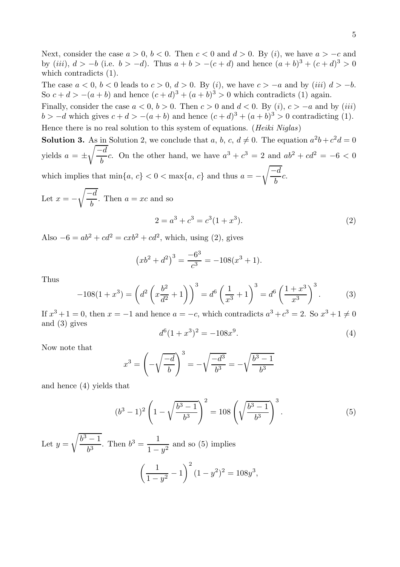Next, consider the case  $a > 0$ ,  $b < 0$ . Then  $c < 0$  and  $d > 0$ . By (i), we have  $a > -c$  and by (*iii*),  $d > -b$  (i.e.  $b > -d$ ). Thus  $a + b > -(c + d)$  and hence  $(a + b)^3 + (c + d)^3 > 0$ which contradicts (1).

The case  $a < 0$ ,  $b < 0$  leads to  $c > 0$ ,  $d > 0$ . By (i), we have  $c > -a$  and by (iii)  $d > -b$ . So  $c + d > -(a + b)$  and hence  $(c + d)^3 + (a + b)^3 > 0$  which contradicts (1) again.

Finally, consider the case  $a < 0, b > 0$ . Then  $c > 0$  and  $d < 0$ . By (i),  $c > -a$  and by (iii)  $b > -d$  which gives  $c + d > -(a + b)$  and hence  $(c + d)^3 + (a + b)^3 > 0$  contradicting (1).

Hence there is no real solution to this system of equations. (*Heiki Niglas*)

**Solution 3.** As in Solution 2, we conclude that a, b, c,  $d \neq 0$ . The equation  $a^2b + c^2d = 0$ yields  $a = \pm$  $\sqrt{-d}$  $\frac{1}{b}c$ . On the other hand, we have  $a^3 + c^3 = 2$  and  $ab^2 + cd^2 = -6 < 0$ which implies that  $\min\{a, c\} < 0 < \max\{a, c\}$  and thus  $a = \sqrt{-d}$  $\frac{a}{b}c.$ 

Let  $x = \sqrt{-d}$  $\frac{b}{b}$ . Then  $a = xc$  and so

$$
2 = a3 + c3 = c3(1 + x3).
$$
 (2)

Also  $-6 = ab^2 + cd^2 = cxb^2 + cd^2$ , which, using (2), gives

$$
(xb2 + d2)3 = \frac{-63}{c3} = -108(x3 + 1).
$$

Thus

$$
-108(1+x^3) = \left(d^2\left(x\frac{b^2}{d^2}+1\right)\right)^3 = d^6\left(\frac{1}{x^3}+1\right)^3 = d^6\left(\frac{1+x^3}{x^3}\right)^3.
$$
 (3)

If  $x^3 + 1 = 0$ , then  $x = -1$  and hence  $a = -c$ , which contradicts  $a^3 + c^3 = 2$ . So  $x^3 + 1 \neq 0$ and (3) gives

$$
d^{6}(1+x^{3})^{2} = -108x^{9}.
$$
\n(4)

Now note that

$$
x^{3} = \left(-\sqrt{\frac{-d}{b}}\right)^{3} = -\sqrt{\frac{-d^{3}}{b^{3}}} = -\sqrt{\frac{b^{3} - 1}{b^{3}}}
$$

and hence (4) yields that

$$
(b3 - 1)2 \left(1 - \sqrt{\frac{b3 - 1}{b3}}\right)2 = 108 \left(\sqrt{\frac{b3 - 1}{b3}}\right)3.
$$
 (5)

Let  $y = \sqrt{\frac{b^3 - 1}{b^3}}$ . Then  $b^3 = \frac{1}{1 - y^2}$  and so (5) implies  $\begin{pmatrix} 1 \end{pmatrix}$  $\frac{1}{1-y^2} - 1$  $(1-y^2)^2 = 108y^3$ ,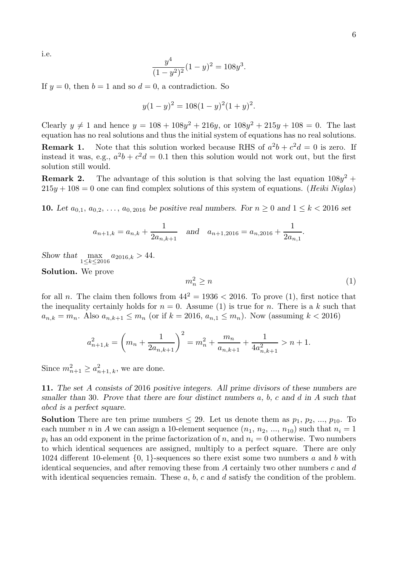i.e.

$$
\frac{y^4}{(1-y^2)^2}(1-y)^2 = 108y^3.
$$

If  $y = 0$ , then  $b = 1$  and so  $d = 0$ , a contradiction. So

$$
y(1-y)^2 = 108(1-y)^2(1+y)^2.
$$

Clearly  $y \neq 1$  and hence  $y = 108 + 108y^2 + 216y$ , or  $108y^2 + 215y + 108 = 0$ . The last equation has no real solutions and thus the initial system of equations has no real solutions.

**Remark 1.** Note that this solution worked because RHS of  $a^2b + c^2d = 0$  is zero. If instead it was, e.g.,  $a^2b + c^2d = 0.1$  then this solution would not work out, but the first solution still would.

**Remark 2.** The advantage of this solution is that solving the last equation  $108y^2$  +  $215y + 108 = 0$  one can find complex solutions of this system of equations. (*Heiki Niglas*)

**10.** Let  $a_{0,1}, a_{0,2}, \ldots, a_{0,2016}$  be positive real numbers. For  $n \geq 0$  and  $1 \leq k < 2016$  set

$$
a_{n+1,k} = a_{n,k} + \frac{1}{2a_{n,k+1}}
$$
 and  $a_{n+1,2016} = a_{n,2016} + \frac{1}{2a_{n,1}}$ .

*Show that* max 1≤*k*≤2016  $a_{2016,k} > 44.$ 

**Solution.** We prove

$$
m_n^2 \ge n \tag{1}
$$

for all *n*. The claim then follows from  $44^2 = 1936 < 2016$ . To prove (1), first notice that the inequality certainly holds for  $n = 0$ . Assume (1) is true for n. There is a k such that  $a_{n,k} = m_n$ . Also  $a_{n,k+1} \leq m_n$  (or if  $k = 2016, a_{n,1} \leq m_n$ ). Now (assuming  $k < 2016$ )

$$
a_{n+1,k}^2 = \left(m_n + \frac{1}{2a_{n,k+1}}\right)^2 = m_n^2 + \frac{m_n}{a_{n,k+1}} + \frac{1}{4a_{n,k+1}^2} > n+1.
$$

Since  $m_{n+1}^2 \ge a_{n+1,k}^2$ , we are done.

**11.** *The set* A *consists of* 2016 *positive integers. All prime divisors of these numbers are smaller than* 30*. Prove that there are four distinct numbers* a*,* b*,* c *and* d *in* A *such that* abcd *is a perfect square.*

**Solution** There are ten prime numbers  $\leq 29$ . Let us denote them as  $p_1, p_2, ..., p_{10}$ . To each number n in A we can assign a 10-element sequence  $(n_1, n_2, ..., n_{10})$  such that  $n_i = 1$  $p_i$  has an odd exponent in the prime factorization of n, and  $n_i = 0$  otherwise. Two numbers to which identical sequences are assigned, multiply to a perfect square. There are only 1024 different 10-element  $\{0, 1\}$ -sequences so there exist some two numbers a and b with identical sequencies, and after removing these from A certainly two other numbers  $c$  and  $d$ with identical sequencies remain. These  $a, b, c$  and  $d$  satisfy the condition of the problem.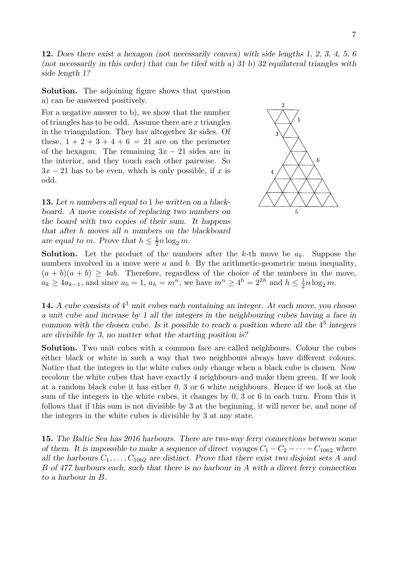**12.** *Does there exist a hexagon (not necessarily convex) with side lengths 1, 2, 3, 4, 5, 6 (not necessarily in this order) that can be tiled with a) 31 b) 32 equilateral triangles with side length 1?*

**Solution.** The adjoining figure shows that question a) can be answered positively.

For a negative answer to b), we show that the number of triangles has to be odd. Assume there are  $x$  triangles in the triangulation. They hav altogether  $3x$  sides. Of these,  $1 + 2 + 3 + 4 + 6 = 21$  are on the perimeter of the hexagon. The remaining  $3x - 21$  sides are in the interior, and they touch each other pairwise. So  $3x - 21$  has to be even, which is only possible, if x is odd.

**13.** *Let* n *numbers all equal to* 1 *be written on a blackboard. A move consists of replacing two numbers on the board with two copies of their sum. It happens that after* h *moves all* n *numbers on the blackboard* are equal to m. Prove that  $h \leq \frac{1}{2}n \log_2 m$ .



**Solution.** Let the product of the numbers after the k-th move be  $a_k$ . Suppose the numbers involved in a move were  $a$  and  $b$ . By the arithmetic-geometric mean inequality,  $(a + b)(a + b) \ge 4ab$ . Therefore, regardless of the choice of the numbers in the move,  $a_k \ge 4a_{k-1}$ , and since  $a_0 = 1$ ,  $a_h = m^n$ , we have  $m^n \ge 4^h = 2^{2h}$  and  $h \le \frac{1}{2}n \log_2 m$ .

**14.** *A cube consists of* 4<sup>3</sup> *unit cubes each containing an integer. At each move, you choose a unit cube and increase by 1 all the integers in the neighbouring cubes having a face in common with the chosen cube. Is it possible to reach a position where all the*  $4^3$  *integers are divisible by 3, no matter what the starting position is?*

**Solution.** Two unit cubes with a common face are called neighbours. Colour the cubes either black or white in such a way that two neighbours always have different colours. Notice that the integers in the white cubes only change when a black cube is chosen. Now recolour the white cubes that have exactly 4 neighbours and make them green. If we look at a random black cube it has either 0, 3 or 6 white neighbours. Hence if we look at the sum of the integers in the white cubes, it changes by 0, 3 or 6 in each turn. From this it follows that if this sum is not divisible by 3 at the beginning, it will never be, and none of the integers in the white cubes is divisible by 3 at any state.

**15.** *The Baltic Sea has 2016 harbours. There are two-way ferry connections between some of them. It is impossible to make a sequence of direct voyages*  $C_1 - C_2 - \cdots - C_{1062}$  *where all the harbours*  $C_1, \ldots, C_{1062}$  *are distinct. Prove that there exist two disjoint sets* A *and* B *of 477 harbours each, such that there is no harbour in* A *with a direct ferry connection to a harbour in* B*.*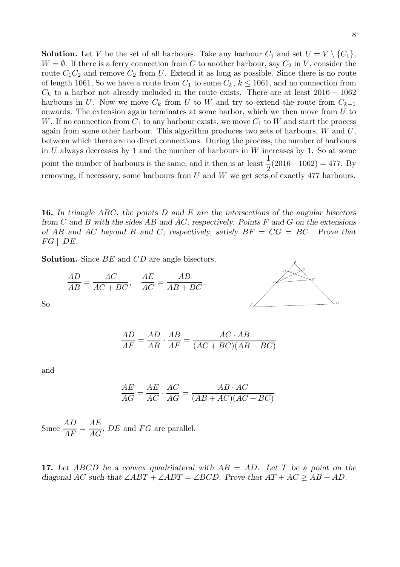**Solution.** Let V be the set of all harbours. Take any harbour  $C_1$  and set  $U = V \setminus \{C_1\}$ ,  $W = \emptyset$ . If there is a ferry connection from C to another harbour, say  $C_2$  in V, consider the route  $C_1C_2$  and remove  $C_2$  from U. Extend it as long as possible. Since there is no route of length 1061, So we have a route from  $C_1$  to some  $C_k$ ,  $k \le 1061$ , and no connection from  $C_k$  to a harbor not already included in the route exists. There are at least  $2016 - 1062$ harbours in U. Now we move  $C_k$  from U to W and try to extend the route from  $C_{k-1}$ onwards. The extension again terminates at some harbor, which we then move from U to W. If no connection from  $C_1$  to any harbour exists, we move  $C_1$  to W and start the process again from some other harbour. This algorithm produces two sets of harbours,  $W$  and  $U$ , between which there are no direct connections. During the process, the number of harbours in  $U$  always decreases by 1 and the number of harbours in  $W$  increases by 1. So at some point the number of harbours is the same, and it then is at least  $\frac{1}{2}$  $\frac{1}{2}(2016 - 1062) = 477.$  By removing, if necessary, some harbours fron  $U$  and  $W$  we get sets of exactly 477 harbours.

**16.** *In triangle* ABC*, the points* D *and* E *are the intersections of the angular bisectors from* C *and* B *with the sides* AB *and* AC*, respectively. Points* F *and* G *on the extensions of* AB *and* AC *beyond* B *and* C*, respectively, satisfy* BF = CG = BC*. Prove that*  $FG \parallel DE$ .

**Solution.** Since BE and CD are angle bisectors,

$$
\frac{AD}{AB} = \frac{AC}{AC + BC}, \quad \frac{AE}{AC} = \frac{AB}{AB + BC}.
$$



So

$$
\frac{AD}{AF} = \frac{AD}{AB} \cdot \frac{AB}{AF} = \frac{AC \cdot AB}{(AC + BC)(AB + BC)}
$$

and

$$
\frac{AE}{AG} = \frac{AE}{AC} \cdot \frac{AC}{AG} = \frac{AB \cdot AC}{(AB + AC)(AC + BC)}.
$$

Since  $\frac{AD}{AF} = \frac{AE}{AG}$ ,  $DE$  and  $FG$  are parallel.

**17.** *Let* ABCD *be a convex quadrilateral with* AB = AD*. Let* T *be a point on the diagonal* AC *such that*  $\angle ABT + \angle ADT = \angle BCD$ . Prove that  $AT + AC \ge AB + AD$ .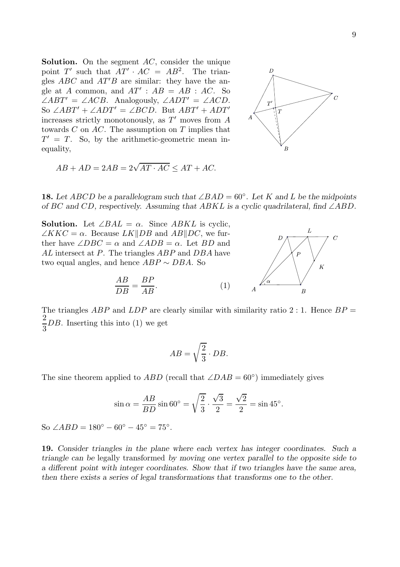**Solution.** On the segment AC, consider the unique point T' such that  $AT' \cdot AC = AB^2$ . The triangles  $ABC$  and  $AT'B$  are similar: they have the angle at A common, and  $AT'$ :  $AB = AB$ : AC. So  $\angle ABT' = \angle ACB$ . Analogously,  $\angle ADT' = \angle ACD$ . So  $\angle ABT' + \angle ADT' = \angle BCD$ . But  $ABT' + ADT'$ increases strictly monotonously, as  $T'$  moves from  $A$ towards  $C$  on  $AC$ . The assumption on  $T$  implies that  $T' = T$ . So, by the arithmetic-geometric mean inequality,



$$
AB + AD = 2AB = 2\sqrt{AT \cdot AC} \le AT + AC.
$$

**18.** Let ABCD be a parallelogram such that  $\angle BAD = 60^\circ$ . Let K and L be the midpoints *of* BC *and* CD*, respectively. Assuming that* ABKL *is a cyclic quadrilateral, find* ∠ABD*.*

**Solution.** Let  $\angle BAL = \alpha$ . Since ABKL is cyclic,  $\angle KKC = \alpha$ . Because  $LK||DB$  and  $AB||DC$ , we further have  $\angle DBC = \alpha$  and  $\angle ADB = \alpha$ . Let BD and AL intersect at P. The triangles ABP and DBA have two equal angles, and hence  $ABP \sim DBA$ . So

$$
\frac{AB}{DB} = \frac{BP}{AB}.\tag{1}
$$



The triangles ABP and LDP are clearly similar with similarity ratio 2 : 1. Hence  $BP =$ 3 DB. Inserting this into (1) we get

$$
AB = \sqrt{\frac{2}{3}} \cdot DB.
$$

The sine theorem applied to  $ABD$  (recall that  $\angle DAB = 60^{\circ}$ ) immediately gives

$$
\sin \alpha = \frac{AB}{BD} \sin 60^\circ = \sqrt{\frac{2}{3}} \cdot \frac{\sqrt{3}}{2} = \frac{\sqrt{2}}{2} = \sin 45^\circ.
$$

So ∠ABD =  $180^{\circ} - 60^{\circ} - 45^{\circ} = 75^{\circ}$ .

**19.** *Consider triangles in the plane where each vertex has integer coordinates. Such a triangle can be* legally transformed *by moving one vertex parallel to the opposite side to a different point with integer coordinates. Show that if two triangles have the same area, then there exists a series of legal transformations that transforms one to the other.*